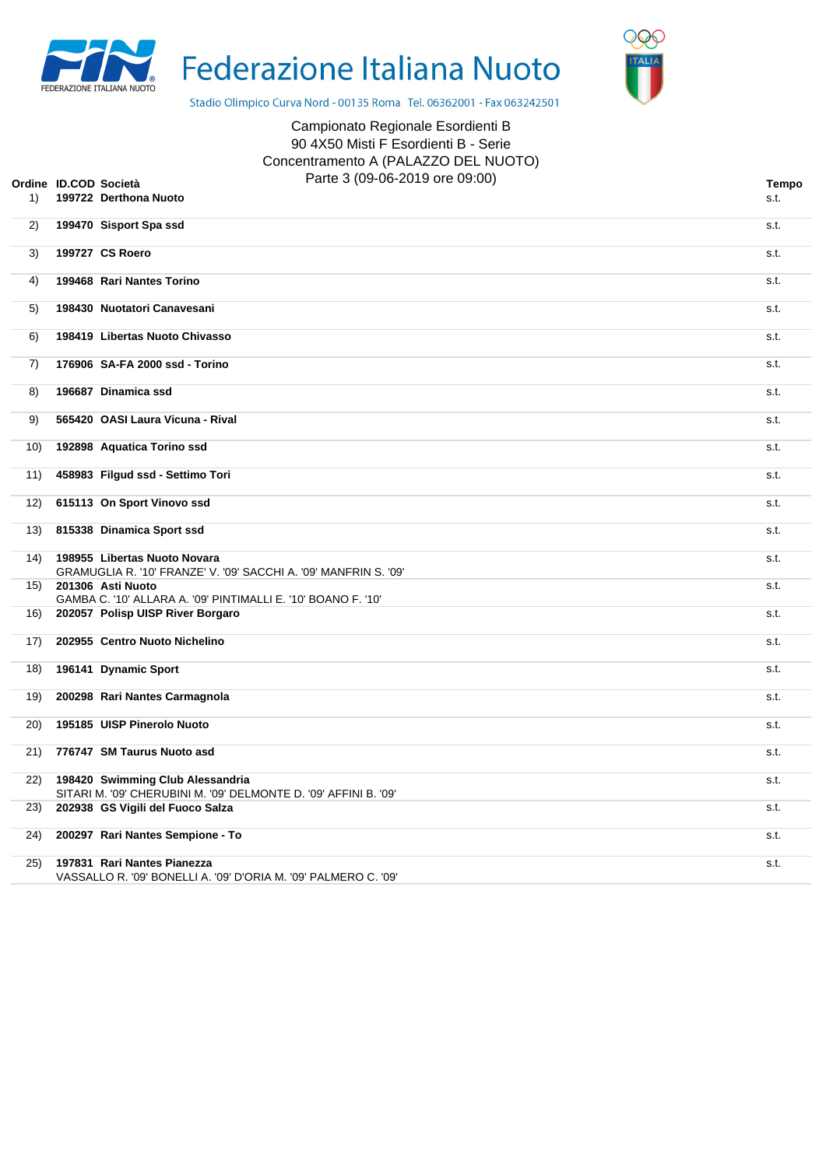



Stadio Olimpico Curva Nord - 00135 Roma Tel. 06362001 - Fax 063242501

## Campionato Regionale Esordienti B 90 4X50 Misti F Esordienti B - Serie Concentramento A (PALAZZO DEL NUOTO) Parte 3 (09-06-2019 ore 09:00) **Ordine ID.COD Società Tempo**

| Tempo<br>s.t. |
|---------------|
|               |

| 1)   | 199722 Derthona Nuoto                                                                                | s.t. |
|------|------------------------------------------------------------------------------------------------------|------|
| 2)   | 199470 Sisport Spa ssd                                                                               | s.t. |
| 3)   | 199727 CS Roero                                                                                      | s.t. |
| 4)   | 199468 Rari Nantes Torino                                                                            | s.t. |
| 5)   | 198430 Nuotatori Canavesani                                                                          | s.t. |
| 6)   | 198419 Libertas Nuoto Chivasso                                                                       | s.t. |
| 7)   | 176906 SA-FA 2000 ssd - Torino                                                                       | s.t. |
| 8)   | 196687 Dinamica ssd                                                                                  | s.t. |
| 9)   | 565420 OASI Laura Vicuna - Rival                                                                     | s.t. |
| 10)  | 192898 Aquatica Torino ssd                                                                           | s.t. |
| 11)  | 458983 Filgud ssd - Settimo Tori                                                                     | s.t. |
| 12)  | 615113 On Sport Vinovo ssd                                                                           | s.t. |
| (13) | 815338 Dinamica Sport ssd                                                                            | s.t. |
| (14) | 198955 Libertas Nuoto Novara<br>GRAMUGLIA R. '10' FRANZE' V. '09' SACCHI A. '09' MANFRIN S. '09'     | s.t. |
| 15)  | 201306 Asti Nuoto<br>GAMBA C. '10' ALLARA A. '09' PINTIMALLI E. '10' BOANO F. '10'                   | s.t. |
| 16)  | 202057 Polisp UISP River Borgaro                                                                     | s.t. |
| 17)  | 202955 Centro Nuoto Nichelino                                                                        | s.t. |
| 18)  | 196141 Dynamic Sport                                                                                 | s.t. |
| 19)  | 200298 Rari Nantes Carmagnola                                                                        | s.t. |
| 20)  | 195185 UISP Pinerolo Nuoto                                                                           | s.t. |
| 21)  | 776747 SM Taurus Nuoto asd                                                                           | s.t. |
| 22)  | 198420 Swimming Club Alessandria<br>SITARI M. '09' CHERUBINI M. '09' DELMONTE D. '09' AFFINI B. '09' | s.t. |
| 23)  | 202938 GS Vigili del Fuoco Salza                                                                     | s.t. |
| 24)  | 200297 Rari Nantes Sempione - To                                                                     | s.t. |
| 25)  | 197831 Rari Nantes Pianezza<br>VASSALLO R. '09' BONELLI A. '09' D'ORIA M. '09' PALMERO C. '09'       | s.t. |
|      |                                                                                                      |      |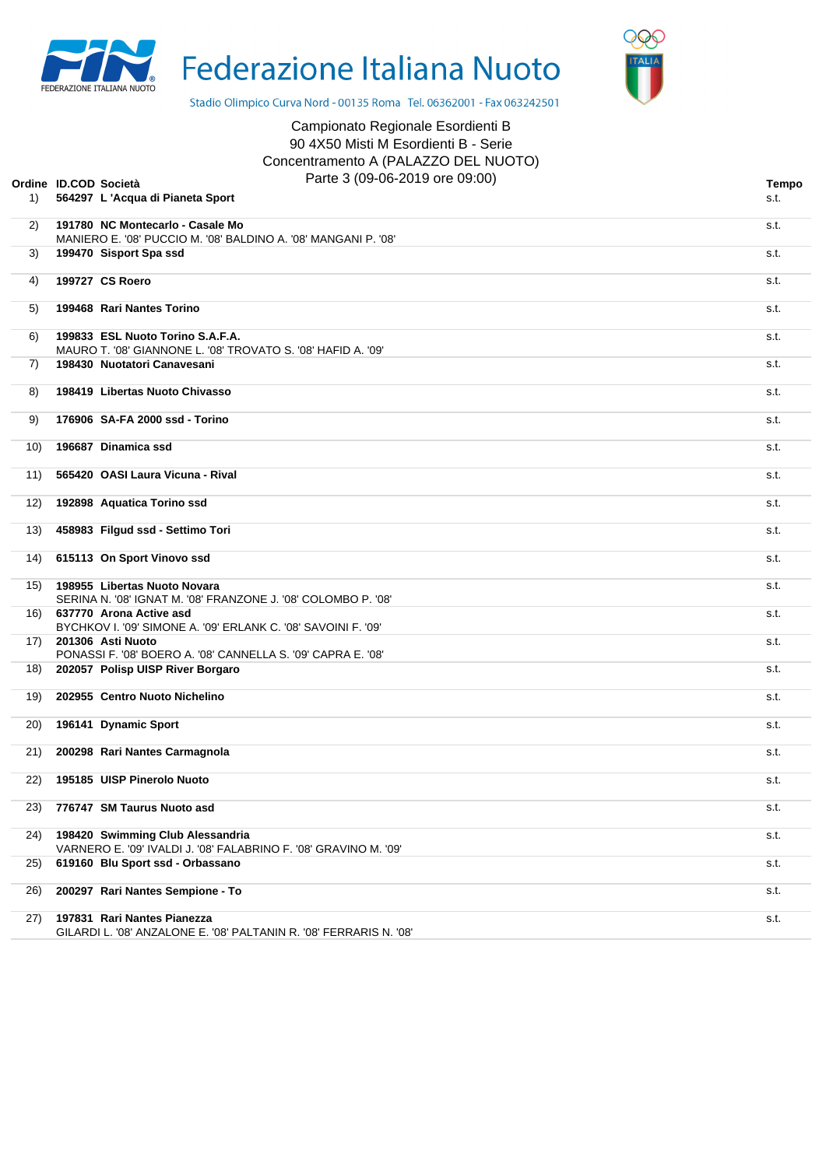



Stadio Olimpico Curva Nord - 00135 Roma Tel. 06362001 - Fax 063242501

## Campionato Regionale Esordienti B 90 4X50 Misti M Esordienti B - Serie Concentramento A (PALAZZO DEL NUOTO) Parte 3 (09-06-2019 ore 09:00) **Ordine ID.COD Società Tempo**

| 1)  | Parte 3 (09-06-2019 ore 09:00)<br>dine ID.COD Società<br>564297 L 'Acqua di Pianeta Sport            | <b>Tempo</b><br>s.t. |
|-----|------------------------------------------------------------------------------------------------------|----------------------|
| 2)  | 191780 NC Montecarlo - Casale Mo                                                                     | s.t.                 |
|     | MANIERO E. '08' PUCCIO M. '08' BALDINO A. '08' MANGANI P. '08'                                       |                      |
| 3)  | 199470 Sisport Spa ssd                                                                               | s.t.                 |
| 4)  | 199727 CS Roero                                                                                      | s.t.                 |
| 5)  | 199468 Rari Nantes Torino                                                                            | s.t.                 |
| 6)  | 199833 ESL Nuoto Torino S.A.F.A.<br>MAURO T. '08' GIANNONE L. '08' TROVATO S. '08' HAFID A. '09'     | s.t.                 |
| 7)  | 198430 Nuotatori Canavesani                                                                          | s.t.                 |
| 8)  | 198419 Libertas Nuoto Chivasso                                                                       | s.t.                 |
| 9)  | 176906 SA-FA 2000 ssd - Torino                                                                       | s.t.                 |
| 10) | 196687 Dinamica ssd                                                                                  | s.t.                 |
| 11) | 565420 OASI Laura Vicuna - Rival                                                                     | s.t.                 |
| 12) | 192898 Aquatica Torino ssd                                                                           | s.t.                 |
| 13) | 458983 Filgud ssd - Settimo Tori                                                                     | s.t.                 |
| 14) | 615113 On Sport Vinovo ssd                                                                           | s.t.                 |
| 15) | 198955 Libertas Nuoto Novara<br>SERINA N. '08' IGNAT M. '08' FRANZONE J. '08' COLOMBO P. '08'        | s.t.                 |
|     | 16) 637770 Arona Active asd<br>BYCHKOV I. '09' SIMONE A. '09' ERLANK C. '08' SAVOINI F. '09'         | s.t.                 |
| 17) | 201306 Asti Nuoto<br>PONASSI F. '08' BOERO A. '08' CANNELLA S. '09' CAPRA E. '08'                    | s.t.                 |
| 18) | 202057 Polisp UISP River Borgaro                                                                     | s.t.                 |
| 19) | 202955 Centro Nuoto Nichelino                                                                        | s.t.                 |
| 20) | 196141 Dynamic Sport                                                                                 | s.t.                 |
| 21) | 200298 Rari Nantes Carmagnola                                                                        | s.t.                 |
| 22) | 195185 UISP Pinerolo Nuoto                                                                           | s.t.                 |
| 23) | 776747 SM Taurus Nuoto asd                                                                           | s.t.                 |
| 24) | 198420 Swimming Club Alessandria<br>VARNERO E. '09' IVALDI J. '08' FALABRINO F. '08' GRAVINO M. '09' | s.t.                 |
| 25) | 619160 Blu Sport ssd - Orbassano                                                                     | s.t.                 |
| 26) | 200297 Rari Nantes Sempione - To                                                                     | s.t.                 |
| 27) | 197831 Rari Nantes Pianezza<br>GILARDI L. '08' ANZALONE E. '08' PALTANIN R. '08' FERRARIS N. '08'    | s.t.                 |
|     |                                                                                                      |                      |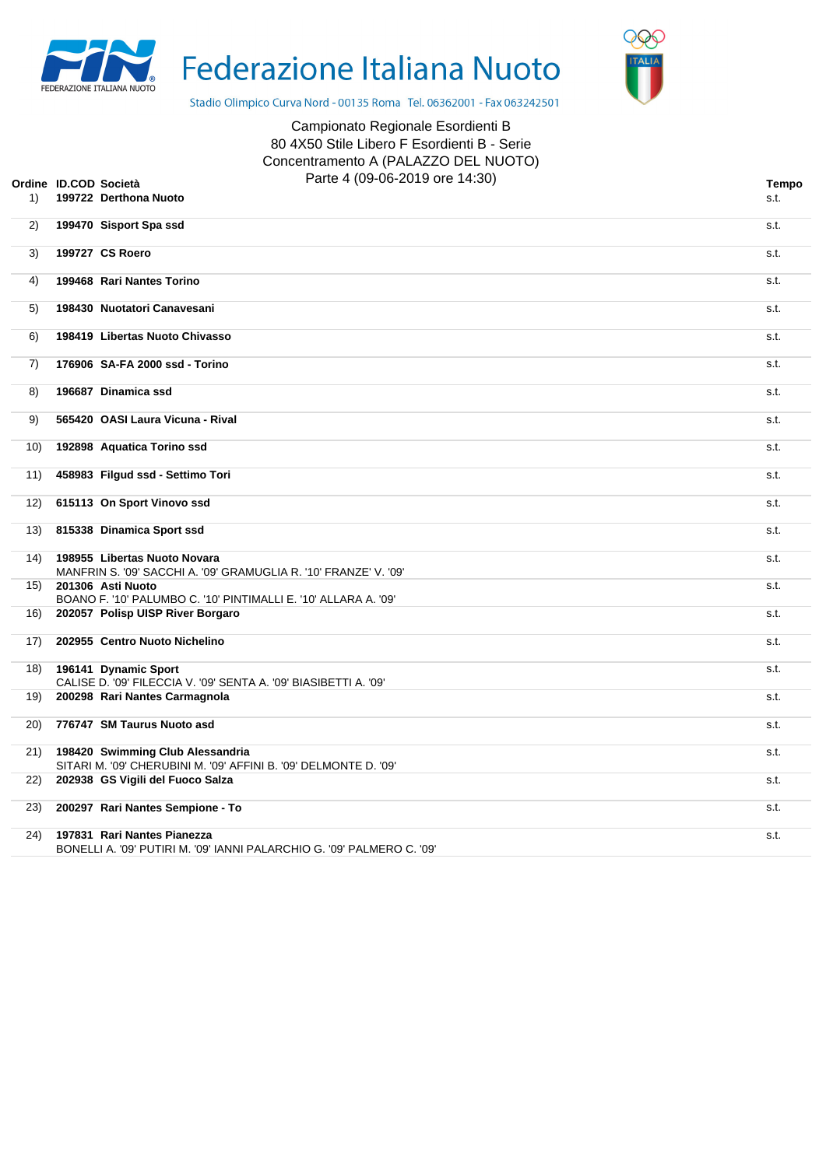



Stadio Olimpico Curva Nord - 00135 Roma Tel. 06362001 - Fax 063242501

| età<br>hona Nuoto | Campionato Regionale Esordienti B<br>80 4X50 Stile Libero F Esordienti B - Serie<br>Concentramento A (PALAZZO DEL NUOTO)<br>Parte 4 (09-06-2019 ore 14:30) |  |
|-------------------|------------------------------------------------------------------------------------------------------------------------------------------------------------|--|
| ort Cho cod       |                                                                                                                                                            |  |

| Tempo |  |
|-------|--|
|       |  |

|      | Ordine ID.COD Società | Parte 4 (09-06-2019 ore 14:30)                                                                        | Tempo |
|------|-----------------------|-------------------------------------------------------------------------------------------------------|-------|
| 1)   |                       | 199722 Derthona Nuoto                                                                                 | s.t.  |
| 2)   |                       | 199470 Sisport Spa ssd                                                                                | s.t.  |
| 3)   |                       | 199727 CS Roero                                                                                       | s.t.  |
| 4)   |                       | 199468 Rari Nantes Torino                                                                             | s.t.  |
| 5)   |                       | 198430 Nuotatori Canavesani                                                                           | s.t.  |
| 6)   |                       | 198419 Libertas Nuoto Chivasso                                                                        | s.t.  |
| 7)   |                       | 176906 SA-FA 2000 ssd - Torino                                                                        | s.t.  |
| 8)   |                       | 196687 Dinamica ssd                                                                                   | s.t.  |
| 9)   |                       | 565420 OASI Laura Vicuna - Rival                                                                      | s.t.  |
| 10)  |                       | 192898 Aquatica Torino ssd                                                                            | s.t.  |
| 11)  |                       | 458983 Filgud ssd - Settimo Tori                                                                      | s.t.  |
| 12)  |                       | 615113 On Sport Vinovo ssd                                                                            | s.t.  |
| 13)  |                       | 815338 Dinamica Sport ssd                                                                             | s.t.  |
| 14)  |                       | 198955 Libertas Nuoto Novara<br>MANFRIN S. '09' SACCHI A. '09' GRAMUGLIA R. '10' FRANZE' V. '09'      | s.t.  |
| 15)  |                       | 201306 Asti Nuoto<br>BOANO F. '10' PALUMBO C. '10' PINTIMALLI E. '10' ALLARA A. '09'                  | s.t.  |
| 16)  |                       | 202057 Polisp UISP River Borgaro                                                                      | s.t.  |
| 17)  |                       | 202955 Centro Nuoto Nichelino                                                                         | s.t.  |
| 18)  |                       | 196141 Dynamic Sport<br>CALISE D. '09' FILECCIA V. '09' SENTA A. '09' BIASIBETTI A. '09'              | s.t.  |
| 19)  |                       | 200298 Rari Nantes Carmagnola                                                                         | s.t.  |
| (20) |                       | 776747 SM Taurus Nuoto asd                                                                            | s.t.  |
| 21)  |                       | 198420 Swimming Club Alessandria<br>SITARI M. '09' CHERUBINI M. '09' AFFINI B. '09' DELMONTE D. '09'  | s.t.  |
| 22)  |                       | 202938 GS Vigili del Fuoco Salza                                                                      | s.t.  |
| 23)  |                       | 200297 Rari Nantes Sempione - To                                                                      | s.t.  |
| 24)  |                       | 197831 Rari Nantes Pianezza<br>BONELLI A. '09' PUTIRI M. '09' IANNI PALARCHIO G. '09' PALMERO C. '09' | s.t.  |
|      |                       |                                                                                                       |       |